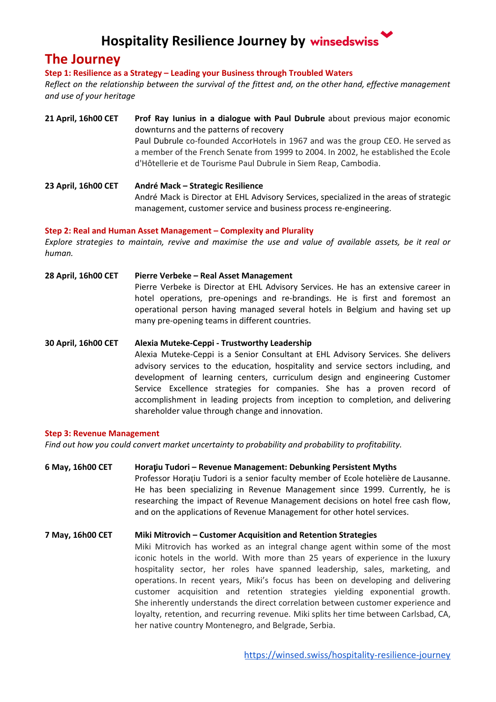## **Hospitality Resilience Journey by winsedswiss**

### **The Journey**

**Step 1: Resilience as a Strategy – Leading your Business through Troubled Waters**

Reflect on the relationship between the survival of the fittest and, on the other hand, effective management *and use of your heritage*

- **21 April, 16h00 CET Prof Ray Iunius in a dialogue with Paul Dubrule** about previous major economic downturns and the patterns of recovery Paul Dubrule co-founded AccorHotels in 1967 and was the group CEO. He served as a member of the French Senate from 1999 to 2004. In 2002, he established the Ecole d'Hôtellerie et de Tourisme Paul Dubrule in Siem Reap, Cambodia.
- **23 April, 16h00 CET André Mack – Strategic Resilience** André Mack is Director at EHL Advisory Services, specialized in the areas of strategic management, customer service and business process re-engineering.

#### **Step 2: Real and Human Asset Management – Complexity and Plurality**

Explore strategies to maintain, revive and maximise the use and value of available assets, be it real or *human.*

**28 April, 16h00 CET Pierre Verbeke – Real Asset Management** Pierre Verbeke is Director at EHL Advisory Services. He has an extensive career in hotel operations, pre-openings and re-brandings. He is first and foremost an operational person having managed several hotels in Belgium and having set up many pre-opening teams in different countries.

**30 April, 16h00 CET Alexia Muteke-Ceppi - Trustworthy Leadership** Alexia Muteke-Ceppi is a Senior Consultant at EHL Advisory Services. She delivers advisory services to the education, hospitality and service sectors including, and development of learning centers, curriculum design and engineering Customer Service Excellence strategies for companies. She has a proven record of accomplishment in leading projects from inception to completion, and delivering shareholder value through change and innovation.

#### **Step 3: Revenue Management**

*Find out how you could convert market uncertainty to probability and probability to profitability.*

**6 May, 16h00 CET Hora**ț**iu Tudori – Revenue Management: Debunking Persistent Myths** Professor Horațiu Tudori is a senior faculty member of Ecole hotelière de Lausanne. He has been specializing in Revenue Management since 1999. Currently, he is researching the impact of Revenue Management decisions on hotel free cash flow, and on the applications of Revenue Management for other hotel services.

#### **7 May, 16h00 CET Miki Mitrovich – Customer Acquisition and Retention Strategies**

Miki Mitrovich has worked as an integral change agent within some of the most iconic hotels in the world. With more than 25 years of experience in the luxury hospitality sector, her roles have spanned leadership, sales, marketing, and operations. In recent years, Miki's focus has been on developing and delivering customer acquisition and retention strategies yielding exponential growth. She inherently understands the direct correlation between customer experience and loyalty, retention, and recurring revenue. Miki splits her time between Carlsbad, CA, her native country Montenegro, and Belgrade, Serbia.